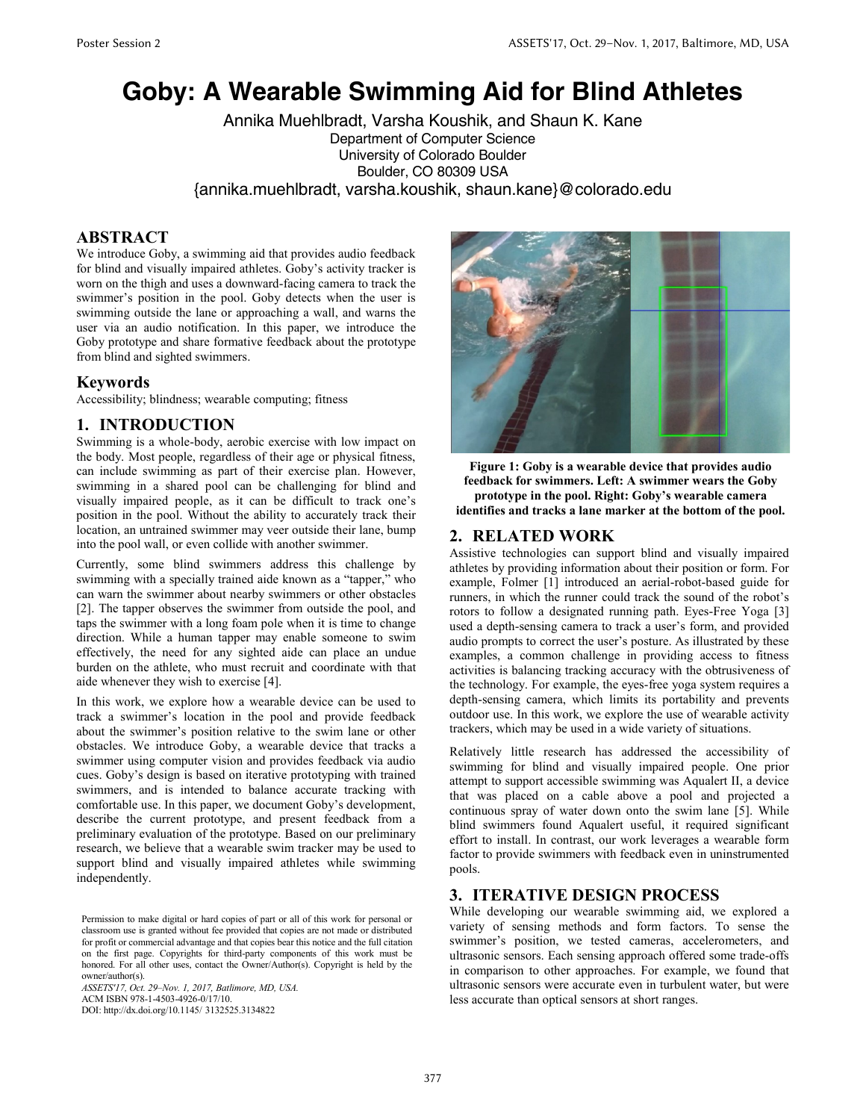# **Goby: A Wearable Swimming Aid for Blind Athletes**

Annika Muehlbradt, Varsha Koushik, and Shaun K. Kane Department of Computer Science University of Colorado Boulder Boulder, CO 80309 USA {annika.muehlbradt, varsha.koushik, shaun.kane}@colorado.edu

## **ABSTRACT**

We introduce Goby, a swimming aid that provides audio feedback for blind and visually impaired athletes. Goby's activity tracker is worn on the thigh and uses a downward-facing camera to track the swimmer's position in the pool. Goby detects when the user is swimming outside the lane or approaching a wall, and warns the user via an audio notification. In this paper, we introduce the Goby prototype and share formative feedback about the prototype from blind and sighted swimmers.

#### **Keywords**

Accessibility; blindness; wearable computing; fitness

#### **1. INTRODUCTION**

Swimming is a whole-body, aerobic exercise with low impact on the body. Most people, regardless of their age or physical fitness, can include swimming as part of their exercise plan. However, swimming in a shared pool can be challenging for blind and visually impaired people, as it can be difficult to track one's position in the pool. Without the ability to accurately track their location, an untrained swimmer may veer outside their lane, bump into the pool wall, or even collide with another swimmer.

Currently, some blind swimmers address this challenge by swimming with a specially trained aide known as a "tapper," who can warn the swimmer about nearby swimmers or other obstacles [2]. The tapper observes the swimmer from outside the pool, and taps the swimmer with a long foam pole when it is time to change direction. While a human tapper may enable someone to swim effectively, the need for any sighted aide can place an undue burden on the athlete, who must recruit and coordinate with that aide whenever they wish to exercise [4].

In this work, we explore how a wearable device can be used to track a swimmer's location in the pool and provide feedback about the swimmer's position relative to the swim lane or other obstacles. We introduce Goby, a wearable device that tracks a swimmer using computer vision and provides feedback via audio cues. Goby's design is based on iterative prototyping with trained swimmers, and is intended to balance accurate tracking with comfortable use. In this paper, we document Goby's development, describe the current prototype, and present feedback from a preliminary evaluation of the prototype. Based on our preliminary research, we believe that a wearable swim tracker may be used to support blind and visually impaired athletes while swimming independently.

*ASSETS'17, Oct. 29–Nov. 1, 2017, Batlimore, MD, USA.* ACM ISBN 978-1-4503-4926-0/17/10. DOI: http://dx.doi.org/10.1145/ 3132525.3134822



**Figure 1: Goby is a wearable device that provides audio feedback for swimmers. Left: A swimmer wears the Goby prototype in the pool. Right: Goby's wearable camera identifies and tracks a lane marker at the bottom of the pool.**

#### **2. RELATED WORK**

Assistive technologies can support blind and visually impaired athletes by providing information about their position or form. For example, Folmer [1] introduced an aerial-robot-based guide for runners, in which the runner could track the sound of the robot's rotors to follow a designated running path. Eyes-Free Yoga [3] used a depth-sensing camera to track a user's form, and provided audio prompts to correct the user's posture. As illustrated by these examples, a common challenge in providing access to fitness activities is balancing tracking accuracy with the obtrusiveness of the technology. For example, the eyes-free yoga system requires a depth-sensing camera, which limits its portability and prevents outdoor use. In this work, we explore the use of wearable activity trackers, which may be used in a wide variety of situations.

Relatively little research has addressed the accessibility of swimming for blind and visually impaired people. One prior attempt to support accessible swimming was Aqualert II, a device that was placed on a cable above a pool and projected a continuous spray of water down onto the swim lane [5]. While blind swimmers found Aqualert useful, it required significant effort to install. In contrast, our work leverages a wearable form factor to provide swimmers with feedback even in uninstrumented pools.

## **3. ITERATIVE DESIGN PROCESS**

While developing our wearable swimming aid, we explored a variety of sensing methods and form factors. To sense the swimmer's position, we tested cameras, accelerometers, and ultrasonic sensors. Each sensing approach offered some trade-offs in comparison to other approaches. For example, we found that ultrasonic sensors were accurate even in turbulent water, but were less accurate than optical sensors at short ranges.

Permission to make digital or hard copies of part or all of this work for personal or classroom use is granted without fee provided that copies are not made or distributed for profit or commercial advantage and that copies bear this notice and the full citation on the first page. Copyrights for third-party components of this work must be honored. For all other uses, contact the Owner/Author(s). Copyright is held by the owner/author(s).